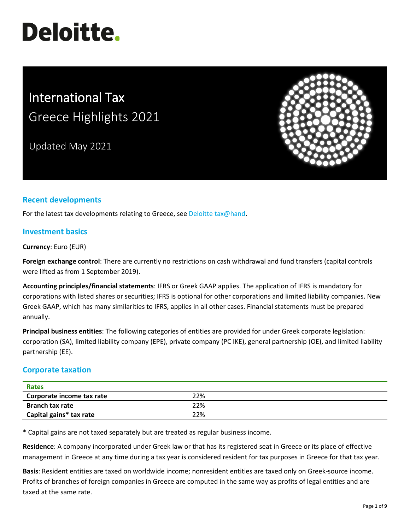# **Deloitte.**

# International Tax Greece Highlights 2021

Updated May 2021



# **Recent developments**

For the latest tax developments relating to Greece, see [Deloitte tax@hand.](https://www.taxathand.com/world-news/Greece)

#### **Investment basics**

**Currency**: Euro (EUR)

**Foreign exchange control**: There are currently no restrictions on cash withdrawal and fund transfers (capital controls were lifted as from 1 September 2019).

**Accounting principles/financial statements**: IFRS or Greek GAAP applies. The application of IFRS is mandatory for corporations with listed shares or securities; IFRS is optional for other corporations and limited liability companies. New Greek GAAP, which has many similarities to IFRS, applies in all other cases. Financial statements must be prepared annually.

**Principal business entities**: The following categories of entities are provided for under Greek corporate legislation: corporation (SA), limited liability company (EPE), private company (PC IKE), general partnership (OE), and limited liability partnership (EE).

# **Corporate taxation**

| <b>Rates</b>              |     |  |
|---------------------------|-----|--|
| Corporate income tax rate | 22% |  |
| <b>Branch tax rate</b>    | 22% |  |
| Capital gains* tax rate   | 22% |  |

\* Capital gains are not taxed separately but are treated as regular business income.

**Residence**: A company incorporated under Greek law or that has its registered seat in Greece or its place of effective management in Greece at any time during a tax year is considered resident for tax purposes in Greece for that tax year.

**Basis**: Resident entities are taxed on worldwide income; nonresident entities are taxed only on Greek-source income. Profits of branches of foreign companies in Greece are computed in the same way as profits of legal entities and are taxed at the same rate.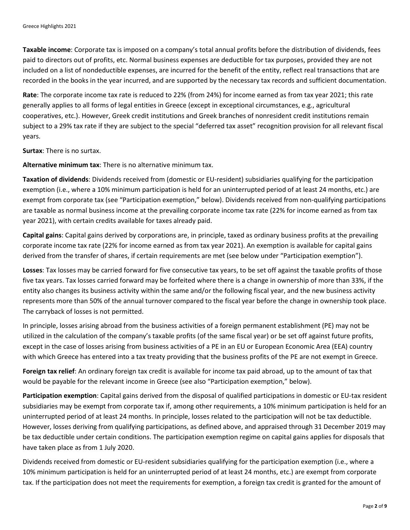**Taxable income**: Corporate tax is imposed on a company's total annual profits before the distribution of dividends, fees paid to directors out of profits, etc. Normal business expenses are deductible for tax purposes, provided they are not included on a list of nondeductible expenses, are incurred for the benefit of the entity, reflect real transactions that are recorded in the books in the year incurred, and are supported by the necessary tax records and sufficient documentation.

**Rate**: The corporate income tax rate is reduced to 22% (from 24%) for income earned as from tax year 2021; this rate generally applies to all forms of legal entities in Greece (except in exceptional circumstances, e.g., agricultural cooperatives, etc.). However, Greek credit institutions and Greek branches of nonresident credit institutions remain subject to a 29% tax rate if they are subject to the special "deferred tax asset" recognition provision for all relevant fiscal years.

**Surtax**: There is no surtax.

**Alternative minimum tax**: There is no alternative minimum tax.

**Taxation of dividends**: Dividends received from (domestic or EU-resident) subsidiaries qualifying for the participation exemption (i.e., where a 10% minimum participation is held for an uninterrupted period of at least 24 months, etc.) are exempt from corporate tax (see "Participation exemption," below). Dividends received from non-qualifying participations are taxable as normal business income at the prevailing corporate income tax rate (22% for income earned as from tax year 2021), with certain credits available for taxes already paid.

**Capital gains**: Capital gains derived by corporations are, in principle, taxed as ordinary business profits at the prevailing corporate income tax rate (22% for income earned as from tax year 2021). An exemption is available for capital gains derived from the transfer of shares, if certain requirements are met (see below under "Participation exemption").

**Losses**: Tax losses may be carried forward for five consecutive tax years, to be set off against the taxable profits of those five tax years. Tax losses carried forward may be forfeited where there is a change in ownership of more than 33%, if the entity also changes its business activity within the same and/or the following fiscal year, and the new business activity represents more than 50% of the annual turnover compared to the fiscal year before the change in ownership took place. The carryback of losses is not permitted.

In principle, losses arising abroad from the business activities of a foreign permanent establishment (PE) may not be utilized in the calculation of the company's taxable profits (of the same fiscal year) or be set off against future profits, except in the case of losses arising from business activities of a PE in an EU or European Economic Area (EEA) country with which Greece has entered into a tax treaty providing that the business profits of the PE are not exempt in Greece.

**Foreign tax relief**: An ordinary foreign tax credit is available for income tax paid abroad, up to the amount of tax that would be payable for the relevant income in Greece (see also "Participation exemption," below).

**Participation exemption**: Capital gains derived from the disposal of qualified participations in domestic or EU-tax resident subsidiaries may be exempt from corporate tax if, among other requirements, a 10% minimum participation is held for an uninterrupted period of at least 24 months. In principle, losses related to the participation will not be tax deductible. However, losses deriving from qualifying participations, as defined above, and appraised through 31 December 2019 may be tax deductible under certain conditions. The participation exemption regime on capital gains applies for disposals that have taken place as from 1 July 2020.

Dividends received from domestic or EU-resident subsidiaries qualifying for the participation exemption (i.e., where a 10% minimum participation is held for an uninterrupted period of at least 24 months, etc.) are exempt from corporate tax. If the participation does not meet the requirements for exemption, a foreign tax credit is granted for the amount of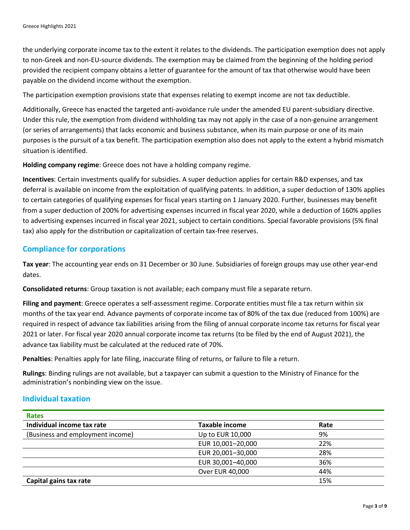the underlying corporate income tax to the extent it relates to the dividends. The participation exemption does not apply to non-Greek and non-EU-source dividends. The exemption may be claimed from the beginning of the holding period provided the recipient company obtains a letter of guarantee for the amount of tax that otherwise would have been payable on the dividend income without the exemption.

The participation exemption provisions state that expenses relating to exempt income are not tax deductible.

Additionally, Greece has enacted the targeted anti-avoidance rule under the amended EU parent-subsidiary directive. Under this rule, the exemption from dividend withholding tax may not apply in the case of a non-genuine arrangement (or series of arrangements) that lacks economic and business substance, when its main purpose or one of its main purposes is the pursuit of a tax benefit. The participation exemption also does not apply to the extent a hybrid mismatch situation is identified.

**Holding company regime**: Greece does not have a holding company regime.

**Incentives**: Certain investments qualify for subsidies. A super deduction applies for certain R&D expenses, and tax deferral is available on income from the exploitation of qualifying patents. In addition, a super deduction of 130% applies to certain categories of qualifying expenses for fiscal years starting on 1 January 2020. Further, businesses may benefit from a super deduction of 200% for advertising expenses incurred in fiscal year 2020, while a deduction of 160% applies to advertising expenses incurred in fiscal year 2021, subject to certain conditions. Special favorable provisions (5% final tax) also apply for the distribution or capitalization of certain tax-free reserves.

#### **Compliance for corporations**

**Tax year**: The accounting year ends on 31 December or 30 June. Subsidiaries of foreign groups may use other year-end dates.

**Consolidated returns**: Group taxation is not available; each company must file a separate return.

**Filing and payment**: Greece operates a self-assessment regime. Corporate entities must file a tax return within six months of the tax year end. Advance payments of corporate income tax of 80% of the tax due (reduced from 100%) are required in respect of advance tax liabilities arising from the filing of annual corporate income tax returns for fiscal year 2021 or later. For fiscal year 2020 annual corporate income tax returns (to be filed by the end of August 2021), the advance tax liability must be calculated at the reduced rate of 70%.

**Penalties**: Penalties apply for late filing, inaccurate filing of returns, or failure to file a return.

**Rulings**: Binding rulings are not available, but a taxpayer can submit a question to the Ministry of Finance for the administration's nonbinding view on the issue.

#### **Individual taxation**

| <b>Rates</b>                     |                       |      |  |
|----------------------------------|-----------------------|------|--|
| Individual income tax rate       | <b>Taxable income</b> | Rate |  |
| (Business and employment income) | Up to EUR 10,000      | 9%   |  |
|                                  | EUR 10,001-20,000     | 22%  |  |
|                                  | EUR 20,001-30,000     | 28%  |  |
|                                  | EUR 30,001-40,000     | 36%  |  |
|                                  | Over EUR 40,000       | 44%  |  |
| Capital gains tax rate           |                       | 15%  |  |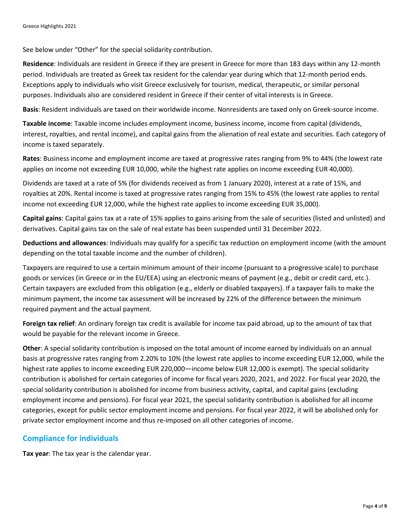See below under "Other" for the special solidarity contribution.

**Residence**: Individuals are resident in Greece if they are present in Greece for more than 183 days within any 12-month period. Individuals are treated as Greek tax resident for the calendar year during which that 12-month period ends. Exceptions apply to individuals who visit Greece exclusively for tourism, medical, therapeutic, or similar personal purposes. Individuals also are considered resident in Greece if their center of vital interests is in Greece.

**Basis**: Resident individuals are taxed on their worldwide income. Nonresidents are taxed only on Greek-source income.

**Taxable income**: Taxable income includes employment income, business income, income from capital (dividends, interest, royalties, and rental income), and capital gains from the alienation of real estate and securities. Each category of income is taxed separately.

**Rates**: Business income and employment income are taxed at progressive rates ranging from 9% to 44% (the lowest rate applies on income not exceeding EUR 10,000, while the highest rate applies on income exceeding EUR 40,000).

Dividends are taxed at a rate of 5% (for dividends received as from 1 January 2020), interest at a rate of 15%, and royalties at 20%. Rental income is taxed at progressive rates ranging from 15% to 45% (the lowest rate applies to rental income not exceeding EUR 12,000, while the highest rate applies to income exceeding EUR 35,000).

**Capital gains**: Capital gains tax at a rate of 15% applies to gains arising from the sale of securities (listed and unlisted) and derivatives. Capital gains tax on the sale of real estate has been suspended until 31 December 2022.

**Deductions and allowances**: Individuals may qualify for a specific tax reduction on employment income (with the amount depending on the total taxable income and the number of children).

Taxpayers are required to use a certain minimum amount of their income (pursuant to a progressive scale) to purchase goods or services (in Greece or in the EU/EEA) using an electronic means of payment (e.g., debit or credit card, etc.). Certain taxpayers are excluded from this obligation (e.g., elderly or disabled taxpayers). If a taxpayer fails to make the minimum payment, the income tax assessment will be increased by 22% of the difference between the minimum required payment and the actual payment.

**Foreign tax relief**: An ordinary foreign tax credit is available for income tax paid abroad, up to the amount of tax that would be payable for the relevant income in Greece.

**Other**: A special solidarity contribution is imposed on the total amount of income earned by individuals on an annual basis at progressive rates ranging from 2.20% to 10% (the lowest rate applies to income exceeding EUR 12,000, while the highest rate applies to income exceeding EUR 220,000—income below EUR 12,000 is exempt). The special solidarity contribution is abolished for certain categories of income for fiscal years 2020, 2021, and 2022. For fiscal year 2020, the special solidarity contribution is abolished for income from business activity, capital, and capital gains (excluding employment income and pensions). For fiscal year 2021, the special solidarity contribution is abolished for all income categories, except for public sector employment income and pensions. For fiscal year 2022, it will be abolished only for private sector employment income and thus re-imposed on all other categories of income.

# **Compliance for individuals**

**Tax year**: The tax year is the calendar year.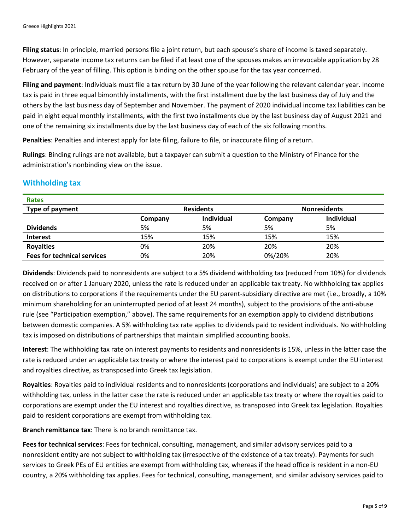**Filing status**: In principle, married persons file a joint return, but each spouse's share of income is taxed separately. However, separate income tax returns can be filed if at least one of the spouses makes an irrevocable application by 28 February of the year of filling. This option is binding on the other spouse for the tax year concerned.

**Filing and payment**: Individuals must file a tax return by 30 June of the year following the relevant calendar year. Income tax is paid in three equal bimonthly installments, with the first installment due by the last business day of July and the others by the last business day of September and November. The payment of 2020 individual income tax liabilities can be paid in eight equal monthly installments, with the first two installments due by the last business day of August 2021 and one of the remaining six installments due by the last business day of each of the six following months.

**Penalties**: Penalties and interest apply for late filing, failure to file, or inaccurate filing of a return.

**Rulings**: Binding rulings are not available, but a taxpayer can submit a question to the Ministry of Finance for the administration's nonbinding view on the issue.

#### **Withholding tax**

| <b>Rates</b>                       |         |                  |         |                     |  |
|------------------------------------|---------|------------------|---------|---------------------|--|
| Type of payment                    |         | <b>Residents</b> |         | <b>Nonresidents</b> |  |
|                                    | Company | Individual       | Company | Individual          |  |
| <b>Dividends</b>                   | 5%      | 5%               | 5%      | 5%                  |  |
| <b>Interest</b>                    | 15%     | 15%              | 15%     | 15%                 |  |
| <b>Royalties</b>                   | 0%      | 20%              | 20%     | 20%                 |  |
| <b>Fees for technical services</b> | 0%      | 20%              | 0%/20%  | 20%                 |  |

**Dividends**: Dividends paid to nonresidents are subject to a 5% dividend withholding tax (reduced from 10%) for dividends received on or after 1 January 2020, unless the rate is reduced under an applicable tax treaty. No withholding tax applies on distributions to corporations if the requirements under the EU parent-subsidiary directive are met (i.e., broadly, a 10% minimum shareholding for an uninterrupted period of at least 24 months), subject to the provisions of the anti-abuse rule (see "Participation exemption," above). The same requirements for an exemption apply to dividend distributions between domestic companies. A 5% withholding tax rate applies to dividends paid to resident individuals. No withholding tax is imposed on distributions of partnerships that maintain simplified accounting books.

**Interest**: The withholding tax rate on interest payments to residents and nonresidents is 15%, unless in the latter case the rate is reduced under an applicable tax treaty or where the interest paid to corporations is exempt under the EU interest and royalties directive, as transposed into Greek tax legislation.

**Royalties**: Royalties paid to individual residents and to nonresidents (corporations and individuals) are subject to a 20% withholding tax, unless in the latter case the rate is reduced under an applicable tax treaty or where the royalties paid to corporations are exempt under the EU interest and royalties directive, as transposed into Greek tax legislation. Royalties paid to resident corporations are exempt from withholding tax.

**Branch remittance tax**: There is no branch remittance tax.

**Fees for technical services**: Fees for technical, consulting, management, and similar advisory services paid to a nonresident entity are not subject to withholding tax (irrespective of the existence of a tax treaty). Payments for such services to Greek PEs of EU entities are exempt from withholding tax, whereas if the head office is resident in a non-EU country, a 20% withholding tax applies. Fees for technical, consulting, management, and similar advisory services paid to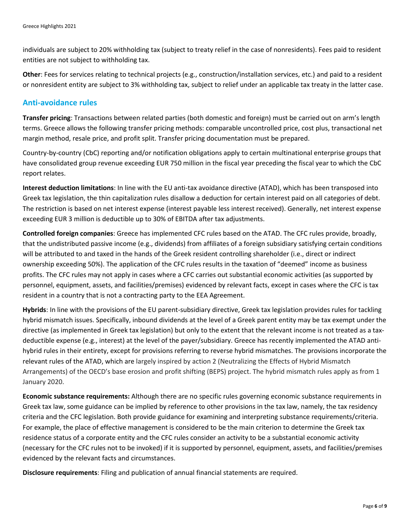individuals are subject to 20% withholding tax (subject to treaty relief in the case of nonresidents). Fees paid to resident entities are not subject to withholding tax.

**Other**: Fees for services relating to technical projects (e.g., construction/installation services, etc.) and paid to a resident or nonresident entity are subject to 3% withholding tax, subject to relief under an applicable tax treaty in the latter case.

#### **Anti-avoidance rules**

**Transfer pricing**: Transactions between related parties (both domestic and foreign) must be carried out on arm's length terms. Greece allows the following transfer pricing methods: comparable uncontrolled price, cost plus, transactional net margin method, resale price, and profit split. Transfer pricing documentation must be prepared.

Country-by-country (CbC) reporting and/or notification obligations apply to certain multinational enterprise groups that have consolidated group revenue exceeding EUR 750 million in the fiscal year preceding the fiscal year to which the CbC report relates.

**Interest deduction limitations**: In line with the EU anti-tax avoidance directive (ATAD), which has been transposed into Greek tax legislation, the thin capitalization rules disallow a deduction for certain interest paid on all categories of debt. The restriction is based on net interest expense (interest payable less interest received). Generally, net interest expense exceeding EUR 3 million is deductible up to 30% of EBITDA after tax adjustments.

**Controlled foreign companies**: Greece has implemented CFC rules based on the ATAD. The CFC rules provide, broadly, that the undistributed passive income (e.g., dividends) from affiliates of a foreign subsidiary satisfying certain conditions will be attributed to and taxed in the hands of the Greek resident controlling shareholder (i.e., direct or indirect ownership exceeding 50%). The application of the CFC rules results in the taxation of "deemed" income as business profits. The CFC rules may not apply in cases where a CFC carries out substantial economic activities (as supported by personnel, equipment, assets, and facilities/premises) evidenced by relevant facts, except in cases where the CFC is tax resident in a country that is not a contracting party to the EEA Agreement.

**Hybrids**: In line with the provisions of the EU parent-subsidiary directive, Greek tax legislation provides rules for tackling hybrid mismatch issues. Specifically, inbound dividends at the level of a Greek parent entity may be tax exempt under the directive (as implemented in Greek tax legislation) but only to the extent that the relevant income is not treated as a taxdeductible expense (e.g., interest) at the level of the payer/subsidiary. Greece has recently implemented the ATAD antihybrid rules in their entirety, except for provisions referring to reverse hybrid mismatches. The provisions incorporate the relevant rules of the ATAD, which are largely inspired by action 2 (Neutralizing the Effects of Hybrid Mismatch Arrangements) of the OECD's base erosion and profit shifting (BEPS) project. The hybrid mismatch rules apply as from 1 January 2020.

**Economic substance requirements:** Although there are no specific rules governing economic substance requirements in Greek tax law, some guidance can be implied by reference to other provisions in the tax law, namely, the tax residency criteria and the CFC legislation. Both provide guidance for examining and interpreting substance requirements/criteria. For example, the place of effective management is considered to be the main criterion to determine the Greek tax residence status of a corporate entity and the CFC rules consider an activity to be a substantial economic activity (necessary for the CFC rules not to be invoked) if it is supported by personnel, equipment, assets, and facilities/premises evidenced by the relevant facts and circumstances.

**Disclosure requirements**: Filing and publication of annual financial statements are required.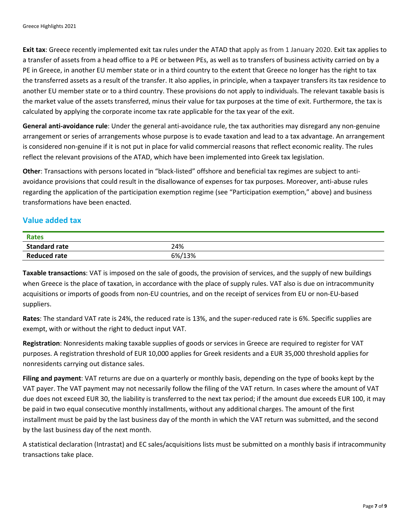**Exit tax**: Greece recently implemented exit tax rules under the ATAD that apply as from 1 January 2020. Exit tax applies to a transfer of assets from a head office to a PE or between PEs, as well as to transfers of business activity carried on by a PE in Greece, in another EU member state or in a third country to the extent that Greece no longer has the right to tax the transferred assets as a result of the transfer. It also applies, in principle, when a taxpayer transfers its tax residence to another EU member state or to a third country. These provisions do not apply to individuals. The relevant taxable basis is the market value of the assets transferred, minus their value for tax purposes at the time of exit. Furthermore, the tax is calculated by applying the corporate income tax rate applicable for the tax year of the exit.

**General anti-avoidance rule**: Under the general anti-avoidance rule, the tax authorities may disregard any non-genuine arrangement or series of arrangements whose purpose is to evade taxation and lead to a tax advantage. An arrangement is considered non-genuine if it is not put in place for valid commercial reasons that reflect economic reality. The rules reflect the relevant provisions of the ATAD, which have been implemented into Greek tax legislation.

**Other**: Transactions with persons located in "black-listed" offshore and beneficial tax regimes are subject to antiavoidance provisions that could result in the disallowance of expenses for tax purposes. Moreover, anti-abuse rules regarding the application of the participation exemption regime (see "Participation exemption," above) and business transformations have been enacted.

# **Value added tax**

| <b>Rates</b>         |        |
|----------------------|--------|
| <b>Standard rate</b> | 24%    |
| <b>Reduced rate</b>  | 6%/13% |

**Taxable transactions**: VAT is imposed on the sale of goods, the provision of services, and the supply of new buildings when Greece is the place of taxation, in accordance with the place of supply rules. VAT also is due on intracommunity acquisitions or imports of goods from non-EU countries, and on the receipt of services from EU or non-EU-based suppliers.

**Rates**: The standard VAT rate is 24%, the reduced rate is 13%, and the super-reduced rate is 6%. Specific supplies are exempt, with or without the right to deduct input VAT.

**Registration**: Nonresidents making taxable supplies of goods or services in Greece are required to register for VAT purposes. A registration threshold of EUR 10,000 applies for Greek residents and a EUR 35,000 threshold applies for nonresidents carrying out distance sales.

**Filing and payment**: VAT returns are due on a quarterly or monthly basis, depending on the type of books kept by the VAT payer. The VAT payment may not necessarily follow the filing of the VAT return. In cases where the amount of VAT due does not exceed EUR 30, the liability is transferred to the next tax period; if the amount due exceeds EUR 100, it may be paid in two equal consecutive monthly installments, without any additional charges. The amount of the first installment must be paid by the last business day of the month in which the VAT return was submitted, and the second by the last business day of the next month.

A statistical declaration (Intrastat) and EC sales/acquisitions lists must be submitted on a monthly basis if intracommunity transactions take place.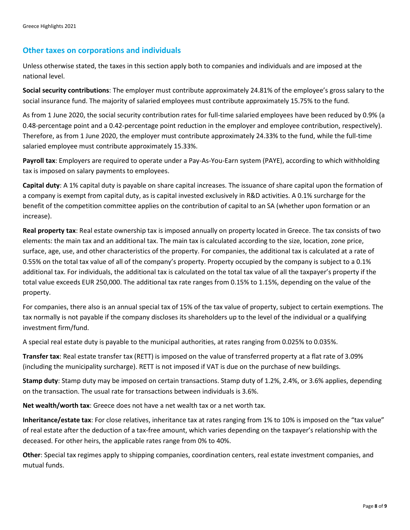#### **Other taxes on corporations and individuals**

Unless otherwise stated, the taxes in this section apply both to companies and individuals and are imposed at the national level.

**Social security contributions**: The employer must contribute approximately 24.81% of the employee's gross salary to the social insurance fund. The majority of salaried employees must contribute approximately 15.75% to the fund.

As from 1 June 2020, the social security contribution rates for full-time salaried employees have been reduced by 0.9% (a 0.48-percentage point and a 0.42-percentage point reduction in the employer and employee contribution, respectively). Therefore, as from 1 June 2020, the employer must contribute approximately 24.33% to the fund, while the full-time salaried employee must contribute approximately 15.33%.

**Payroll tax**: Employers are required to operate under a Pay-As-You-Earn system (PAYE), according to which withholding tax is imposed on salary payments to employees.

**Capital duty**: A 1% capital duty is payable on share capital increases. The issuance of share capital upon the formation of a company is exempt from capital duty, as is capital invested exclusively in R&D activities. A 0.1% surcharge for the benefit of the competition committee applies on the contribution of capital to an SA (whether upon formation or an increase).

**Real property tax**: Real estate ownership tax is imposed annually on property located in Greece. The tax consists of two elements: the main tax and an additional tax. The main tax is calculated according to the size, location, zone price, surface, age, use, and other characteristics of the property. For companies, the additional tax is calculated at a rate of 0.55% on the total tax value of all of the company's property. Property occupied by the company is subject to a 0.1% additional tax. For individuals, the additional tax is calculated on the total tax value of all the taxpayer's property if the total value exceeds EUR 250,000. The additional tax rate ranges from 0.15% to 1.15%, depending on the value of the property.

For companies, there also is an annual special tax of 15% of the tax value of property, subject to certain exemptions. The tax normally is not payable if the company discloses its shareholders up to the level of the individual or a qualifying investment firm/fund.

A special real estate duty is payable to the municipal authorities, at rates ranging from 0.025% to 0.035%.

**Transfer tax**: Real estate transfer tax (RETT) is imposed on the value of transferred property at a flat rate of 3.09% (including the municipality surcharge). RETT is not imposed if VAT is due on the purchase of new buildings.

**Stamp duty**: Stamp duty may be imposed on certain transactions. Stamp duty of 1.2%, 2.4%, or 3.6% applies, depending on the transaction. The usual rate for transactions between individuals is 3.6%.

**Net wealth/worth tax**: Greece does not have a net wealth tax or a net worth tax.

**Inheritance/estate tax**: For close relatives, inheritance tax at rates ranging from 1% to 10% is imposed on the "tax value" of real estate after the deduction of a tax-free amount, which varies depending on the taxpayer's relationship with the deceased. For other heirs, the applicable rates range from 0% to 40%.

**Other**: Special tax regimes apply to shipping companies, coordination centers, real estate investment companies, and mutual funds.